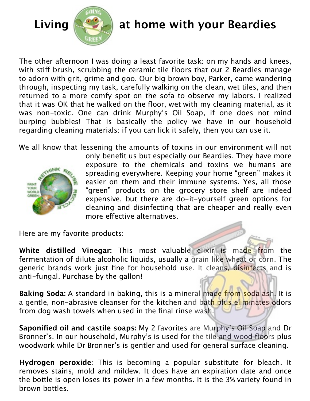

## Living **Section** at home with your Beardies

The other afternoon I was doing a least favorite task: on my hands and knees, with stiff brush, scrubbing the ceramic tile floors that our 2 Beardies manage to adorn with grit, grime and goo. Our big brown boy, Parker, came wandering through, inspecting my task, carefully walking on the clean, wet tiles, and then returned to a more comfy spot on the sofa to observe my labors. I realized that it was OK that he walked on the floor, wet with my cleaning material, as it was non-toxic. One can drink Murphy's Oil Soap, if one does not mind burping bubbles! That is basically the policy we have in our household regarding cleaning materials: if you can lick it safely, then you can use it.

We all know that lessening the amounts of toxins in our environment will not



only benefit us but especially our Beardies. They have more exposure to the chemicals and toxins we humans are spreading everywhere. Keeping your home "green" makes it easier on them and their immune systems. Yes, all those "green" products on the grocery store shelf are indeed expensive, but there are do-it-yourself green options for cleaning and disinfecting that are cheaper and really even more effective alternatives.

Here are my favorite products:

**White distilled Vinegar:** This most valuable elixir is made from the fermentation of dilute alcoholic liquids, usually a grain like wheat or corn. The generic brands work just fine for household use. It cleans, disinfects and is anti-fungal. Purchase by the gallon!

**Baking Soda:** A standard in baking, this is a mineral made from soda ash. It is a gentle, non-abrasive cleanser for the kitchen and bath plus eliminates odors from dog wash towels when used in the final rinse wash.

**Saponified oil and castile soaps:** My 2 favorites are Murphy's Oil Soap and Dr Bronner's. In our household, Murphy's is used for the tile and wood floors plus woodwork while Dr Bronner's is gentler and used for general surface cleaning.

**Hydrogen peroxide**: This is becoming a popular substitute for bleach. It removes stains, mold and mildew. It does have an expiration date and once the bottle is open loses its power in a few months. It is the 3% variety found in brown bottles.